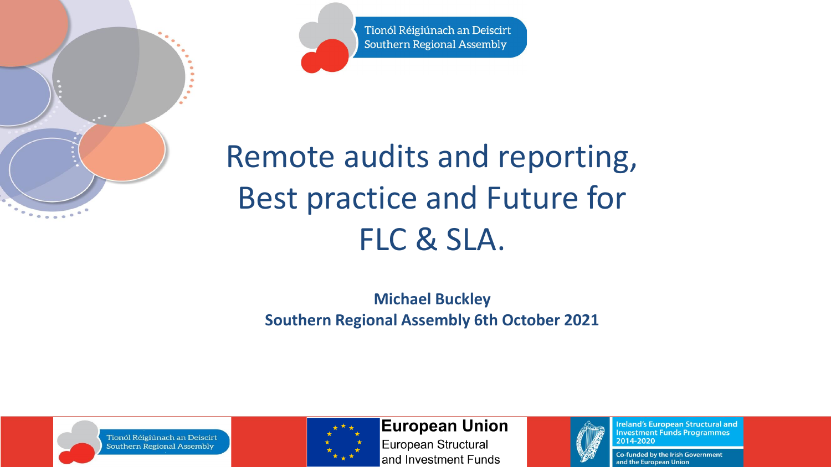Tionól Réigiúnach an Deiscirt Southern Regional Assembly

### Remote audits and reporting, Best practice and Future for FLC & SLA.

**Michael Buckley Southern Regional Assembly 6th October 2021**





**European Union** 

European Structural and Investment Funds



**Ireland's European Structural and Investment Funds Programmes** 2014-2020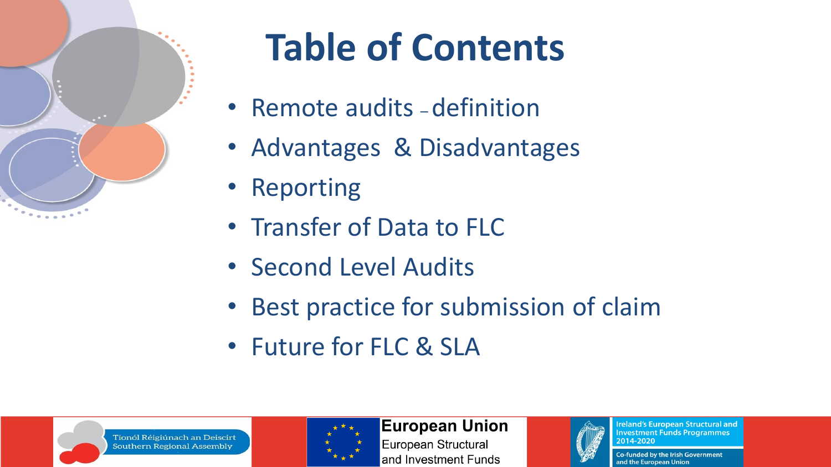

# **Table of Contents**

- Remote audits definition
- Advantages & Disadvantages
- Reporting
- Transfer of Data to FLC
- Second Level Audits
- Best practice for submission of claim
- Future for FLC & SLA





#### **European Union**

European Structural and Investment Funds



**Ireland's European Structural and Investment Funds Programmes** 2014-2020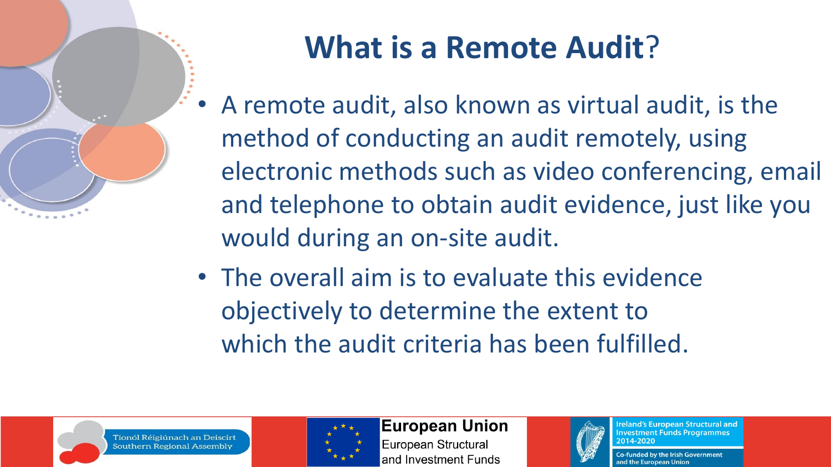

### **What is a Remote Audit**?

- A remote audit, also known as virtual audit, is the method of conducting an audit remotely, using electronic methods such as video conferencing, email and telephone to obtain audit evidence, just like you would during an on-site audit.
- The overall aim is to evaluate this evidence objectively to determine the extent to which the audit criteria has been fulfilled.





**European Union** 

European Structural and Investment Funds



**Ireland's European Structural and Investment Funds Programmes** 2014-2020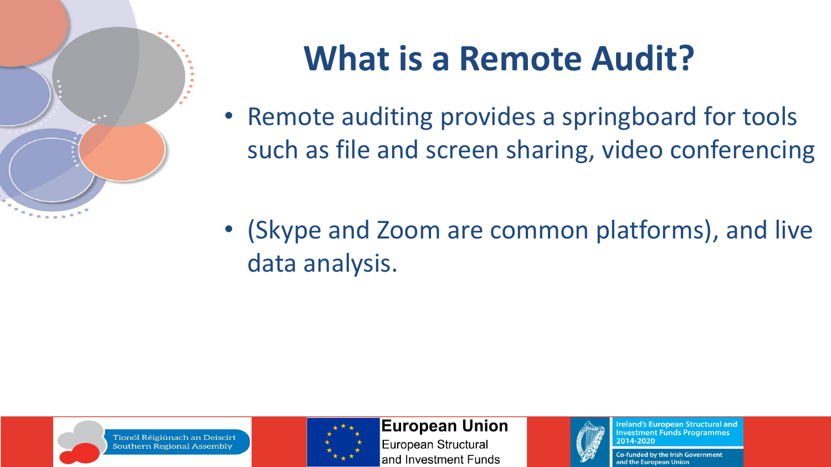

## **What is a Remote Audit?**

• Remote auditing provides a springboard for tools such as file and screen sharing, video conferencing

• (Skype and Zoom are common platforms), and live data analysis.



Tionól Réigiúnach an Deiscirt **Southern Regional Assembly** 



**European Union** 

European Structural and Investment Funds



**Ireland's European Structural and Investment Funds Programmes** 2014-2020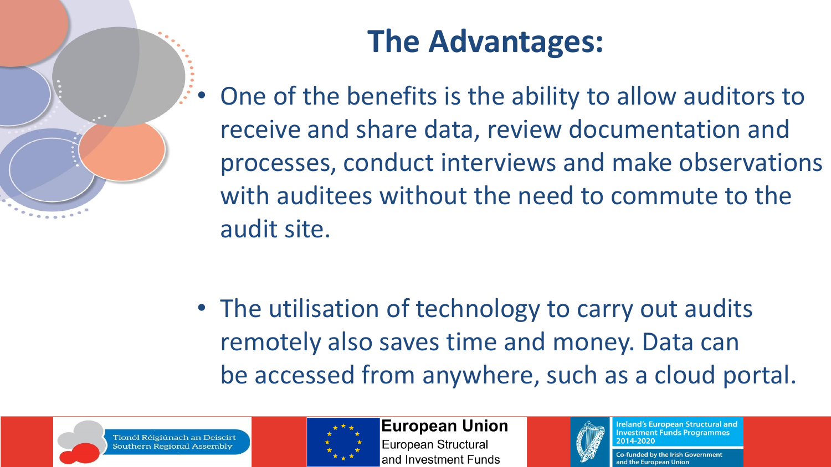### **The Advantages:**

• One of the benefits is the ability to allow auditors to receive and share data, review documentation and processes, conduct interviews and make observations with auditees without the need to commute to the audit site.

• The utilisation of technology to carry out audits remotely also saves time and money. Data can be accessed from anywhere, such as a cloud portal.





**European Union** European Structural and Investment Funds



**Ireland's European Structural and Investment Funds Programmes** 2014-2020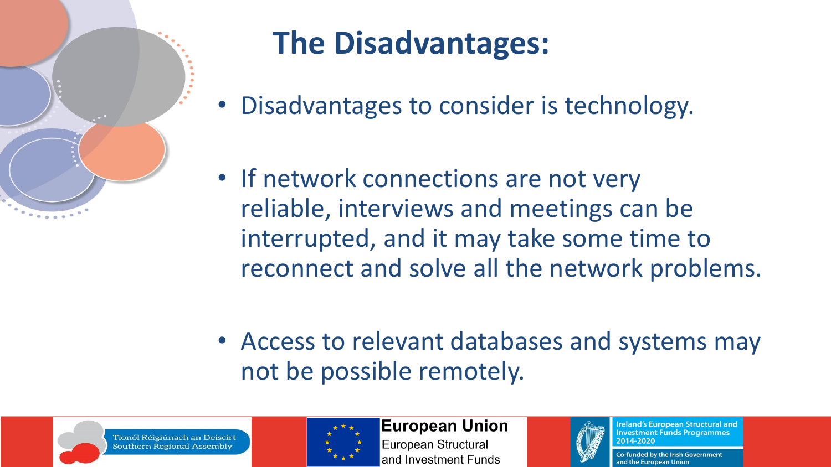

### **The Disadvantages:**

- Disadvantages to consider is technology.
- If network connections are not very reliable, interviews and meetings can be interrupted, and it may take some time to reconnect and solve all the network problems.
- Access to relevant databases and systems may not be possible remotely.





**European Union** European Structural and Investment Funds



**Ireland's European Structural and Investment Funds Programmes** 2014-2020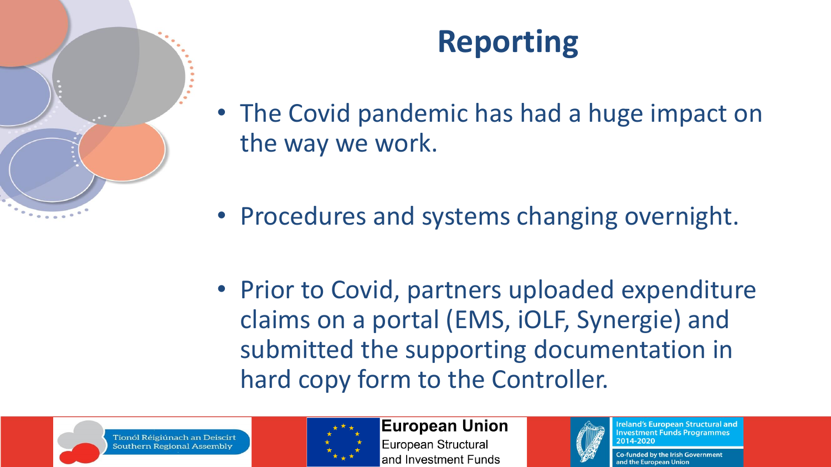

#### **Reporting**

- The Covid pandemic has had a huge impact on the way we work.
- Procedures and systems changing overnight.
- Prior to Covid, partners uploaded expenditure claims on a portal (EMS, iOLF, Synergie) and submitted the supporting documentation in hard copy form to the Controller.





**European Union** European Structural and Investment Funds



**Ireland's European Structural and Investment Funds Programmes** 2014-2020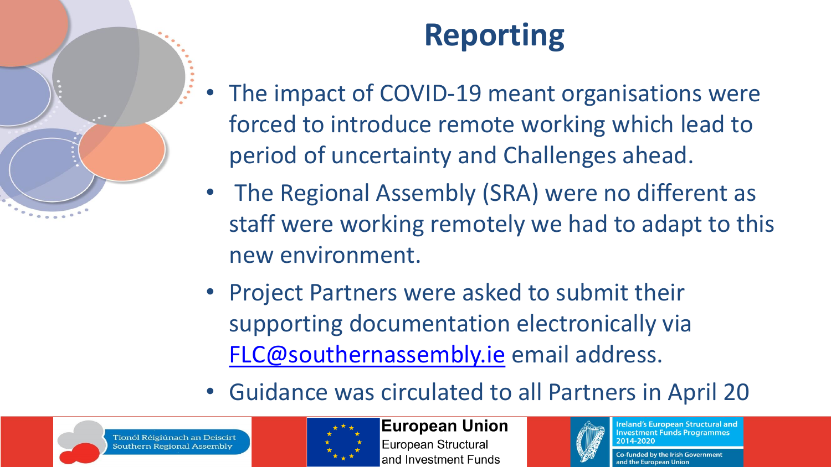### **Reporting**

- The impact of COVID-19 meant organisations were forced to introduce remote working which lead to period of uncertainty and Challenges ahead.
- The Regional Assembly (SRA) were no different as staff were working remotely we had to adapt to this new environment.
- Project Partners were asked to submit their supporting documentation electronically via [FLC@southernassembly.ie](mailto:FLC@southernassembly.ie) email address.
- Guidance was circulated to all Partners in April 20





**European Union** European Structural and Investment Funds



**Ireland's European Structural and Investment Funds Programmes** 2014-2020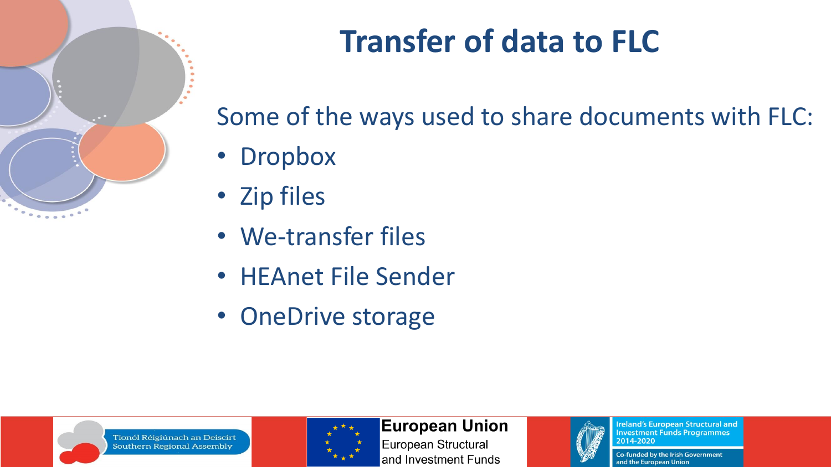

#### **Transfer of data to FLC**

Some of the ways used to share documents with FLC:

- Dropbox
- Zip files
- We-transfer files
- HEAnet File Sender
- OneDrive storage





#### **European Union**

European Structural and Investment Funds



**Ireland's European Structural and Investment Funds Programmes** 2014-2020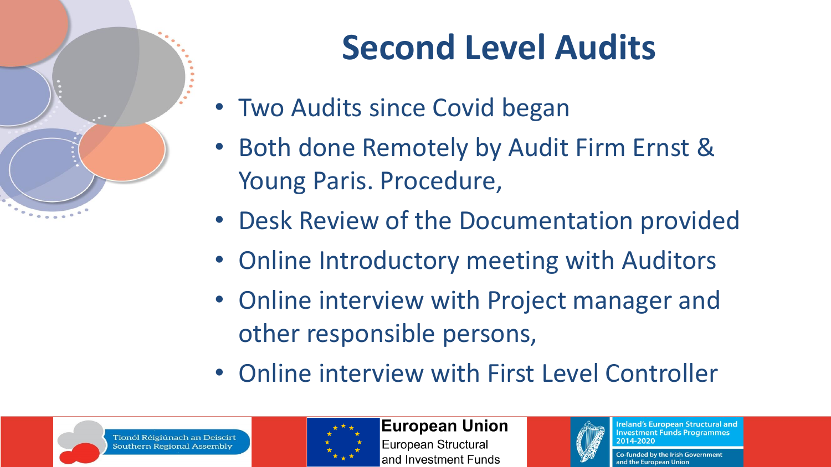

# **Second Level Audits**

- Two Audits since Covid began
- Both done Remotely by Audit Firm Ernst & Young Paris. Procedure,
- Desk Review of the Documentation provided
- Online Introductory meeting with Auditors
- Online interview with Project manager and other responsible persons,
- Online interview with First Level Controller





**European Union** European Structural and Investment Funds



**Ireland's European Structural and Investment Funds Programmes** 2014-2020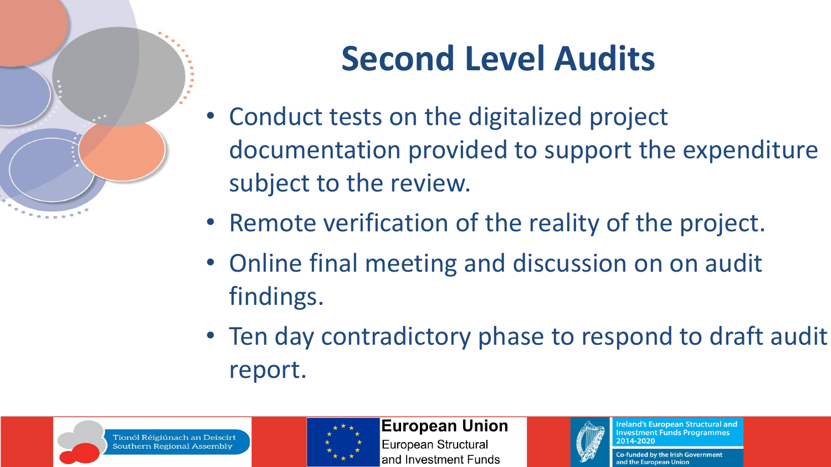

# **Second Level Audits**

- Conduct tests on the digitalized project documentation provided to support the expenditure subject to the review.
- Remote verification of the reality of the project.
- Online final meeting and discussion on on audit findings.
- Ten day contradictory phase to respond to draft audit report.





**European Union** 

European Structural and Investment Funds



**Ireland's European Structural and Investment Funds Programmes** 2014-2020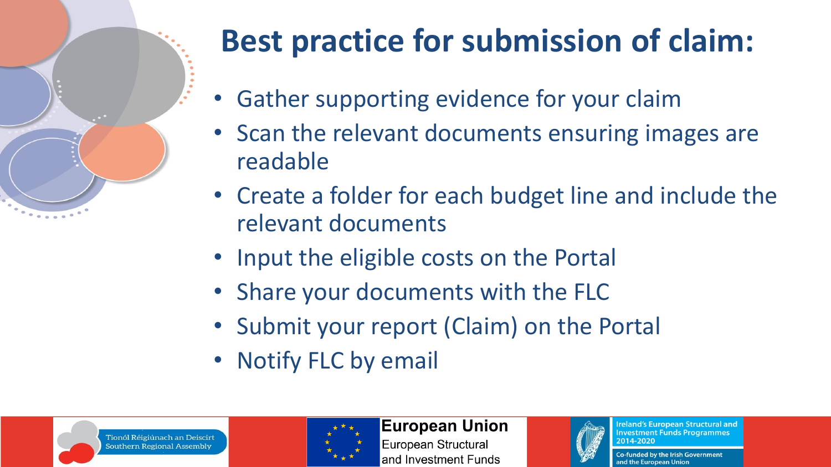

# **Best practice for submission of claim:**

- Gather supporting evidence for your claim
- Scan the relevant documents ensuring images are readable
- Create a folder for each budget line and include the relevant documents
- Input the eligible costs on the Portal
- Share your documents with the FLC
- Submit your report (Claim) on the Portal
- Notify FLC by email





#### **European Union**

European Structural and Investment Funds



**Ireland's European Structural and Investment Funds Programmes** 2014-2020